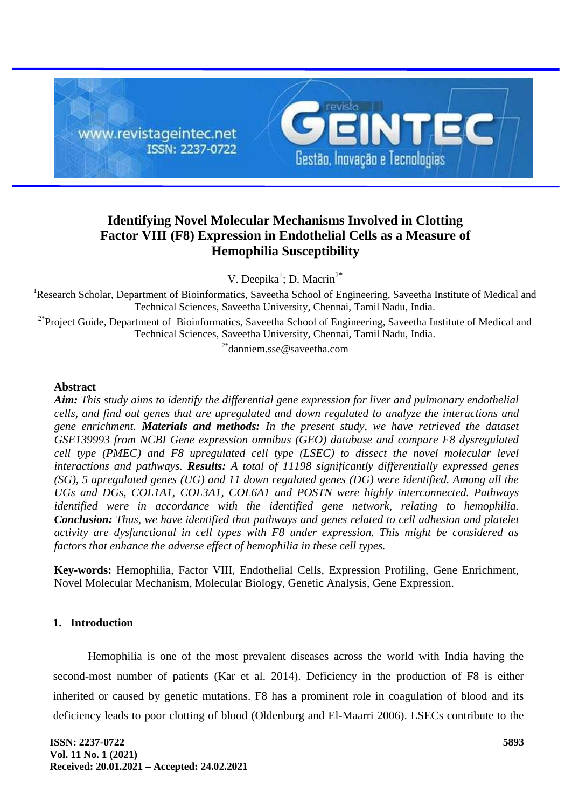

# **Identifying Novel Molecular Mechanisms Involved in Clotting Factor VIII (F8) Expression in Endothelial Cells as a Measure of Hemophilia Susceptibility**

V. Deepika<sup>1</sup>; D. Macrin<sup>2\*</sup>

<sup>1</sup>Research Scholar, Department of Bioinformatics, Saveetha School of Engineering, Saveetha Institute of Medical and Technical Sciences, Saveetha University, Chennai, Tamil Nadu, India.

<sup>2\*</sup>Project Guide, Department of Bioinformatics, Saveetha School of Engineering, Saveetha Institute of Medical and Technical Sciences, Saveetha University, Chennai, Tamil Nadu, India.

<sup>2\*</sup>danniem.sse@saveetha.com

### **Abstract**

*Aim: This study aims to identify the differential gene expression for liver and pulmonary endothelial cells, and find out genes that are upregulated and down regulated to analyze the interactions and gene enrichment. Materials and methods: In the present study, we have retrieved the dataset GSE139993 from NCBI Gene expression omnibus (GEO) database and compare F8 dysregulated cell type (PMEC) and F8 upregulated cell type (LSEC) to dissect the novel molecular level interactions and pathways. Results: A total of 11198 significantly differentially expressed genes (SG), 5 upregulated genes (UG) and 11 down regulated genes (DG) were identified. Among all the UGs and DGs, COL1A1, COL3A1, COL6A1 and POSTN were highly interconnected. Pathways identified were in accordance with the identified gene network, relating to hemophilia. Conclusion: Thus, we have identified that pathways and genes related to cell adhesion and platelet activity are dysfunctional in cell types with F8 under expression. This might be considered as factors that enhance the adverse effect of hemophilia in these cell types.* 

**Key-words:** Hemophilia, Factor VIII, Endothelial Cells, Expression Profiling, Gene Enrichment, Novel Molecular Mechanism, Molecular Biology, Genetic Analysis, Gene Expression.

# **1. Introduction**

Hemophilia is one of the most prevalent diseases across the world with India having the second-most number of patients [\(Kar et al. 2014\).](https://paperpile.com/c/Vgikc1/GxWb) Deficiency in the production of F8 is either inherited or caused by genetic mutations. F8 has a prominent role in coagulation of blood and its deficiency leads to poor clotting of blood [\(Oldenburg and El-Maarri 2006\).](https://paperpile.com/c/Vgikc1/0Vbg) LSECs contribute to the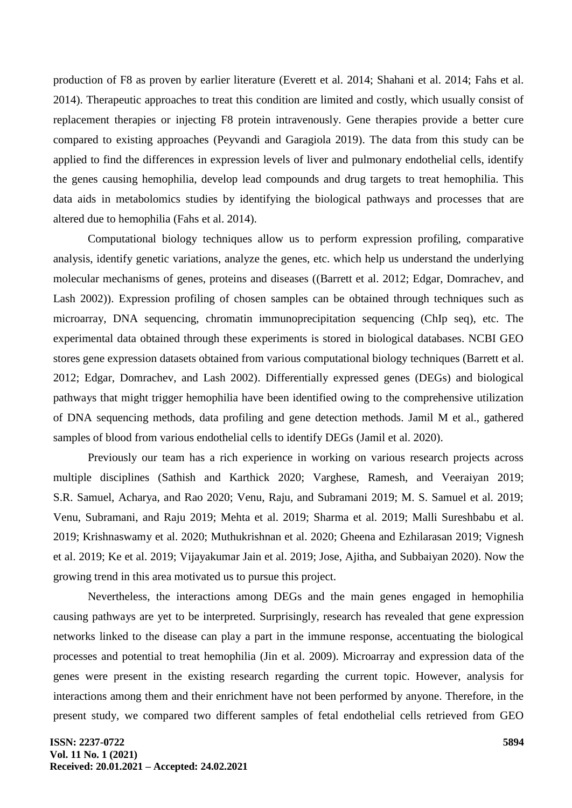production of F8 as proven by earlier literature [\(Everett et al. 2014; Shahani et al. 2014; Fahs et al.](https://paperpile.com/c/Vgikc1/MCfW+YjWF+TueC)  [2014\).](https://paperpile.com/c/Vgikc1/MCfW+YjWF+TueC) Therapeutic approaches to treat this condition are limited and costly, which usually consist of replacement therapies or injecting F8 protein intravenously. Gene therapies provide a better cure compared to existing approaches [\(Peyvandi and Garagiola 2019\).](https://paperpile.com/c/Vgikc1/q2Dj) The data from this study can be applied to find the differences in expression levels of liver and pulmonary endothelial cells, identify the genes causing hemophilia, develop lead compounds and drug targets to treat hemophilia. This data aids in metabolomics studies by identifying the biological pathways and processes that are altered due to hemophilia [\(Fahs et al. 2014\).](https://paperpile.com/c/Vgikc1/TueC)

Computational biology techniques allow us to perform expression profiling, comparative analysis, identify genetic variations, analyze the genes, etc. which help us understand the underlying molecular mechanisms of genes, proteins and diseases [\(\(Barrett et al. 2012; Edgar, Domrachev, and](https://paperpile.com/c/Vgikc1/gkf8+vDBR)  [Lash 2002\)\)](https://paperpile.com/c/Vgikc1/gkf8+vDBR). Expression profiling of chosen samples can be obtained through techniques such as microarray, DNA sequencing, chromatin immunoprecipitation sequencing (ChIp seq), etc. The experimental data obtained through these experiments is stored in biological databases. NCBI GEO stores gene expression datasets obtained from various computational biology techniques [\(Barrett et al.](https://paperpile.com/c/Vgikc1/gkf8+vDBR)  [2012; Edgar, Domrachev, and Lash 2002\).](https://paperpile.com/c/Vgikc1/gkf8+vDBR) Differentially expressed genes (DEGs) and biological pathways that might trigger hemophilia have been identified owing to the comprehensive utilization of DNA sequencing methods, data profiling and gene detection methods. Jamil M et al., gathered samples of blood from various endothelial cells to identify DEGs [\(Jamil et al. 2020\).](https://paperpile.com/c/Vgikc1/VdOL)

Previously our team has a rich experience in working on various research projects across multiple disciplines [\(Sathish and Karthick 2020; Varghese,](https://paperpile.com/c/Vgikc1/eNH9d+gmQXj+1Fk8R+8aB60+qFgmK+7q9F5+BjaVZ+EMCnE+rnYvt+Nj4RO+mzpzB+Q7nYP+6TQVO+qJK8T+GdUW9+2eKuD) Ramesh, and Veeraiyan 2019; [S.R. Samuel, Acharya, and Rao 2020; Venu, Raju, and Subramani 2019; M. S. Samuel et al. 2019;](https://paperpile.com/c/Vgikc1/eNH9d+gmQXj+1Fk8R+8aB60+qFgmK+7q9F5+BjaVZ+EMCnE+rnYvt+Nj4RO+mzpzB+Q7nYP+6TQVO+qJK8T+GdUW9+2eKuD)  [Venu, Subramani, and Raju 2019; Mehta et al. 2019; Sharma et al. 2019; Malli Sureshbabu et al.](https://paperpile.com/c/Vgikc1/eNH9d+gmQXj+1Fk8R+8aB60+qFgmK+7q9F5+BjaVZ+EMCnE+rnYvt+Nj4RO+mzpzB+Q7nYP+6TQVO+qJK8T+GdUW9+2eKuD)  [2019; Krishnaswamy et al. 2020; Muthukrishnan et al. 2020; Gheena and Ezhilarasan 2019; Vignesh](https://paperpile.com/c/Vgikc1/eNH9d+gmQXj+1Fk8R+8aB60+qFgmK+7q9F5+BjaVZ+EMCnE+rnYvt+Nj4RO+mzpzB+Q7nYP+6TQVO+qJK8T+GdUW9+2eKuD)  [et al. 2019; Ke et al. 2019; Vijayakumar Jain et al. 2019; Jose, Ajitha, and](https://paperpile.com/c/Vgikc1/eNH9d+gmQXj+1Fk8R+8aB60+qFgmK+7q9F5+BjaVZ+EMCnE+rnYvt+Nj4RO+mzpzB+Q7nYP+6TQVO+qJK8T+GdUW9+2eKuD) Subbaiyan 2020). Now the growing trend in this area motivated us to pursue this project.

Nevertheless, the interactions among DEGs and the main genes engaged in hemophilia causing pathways are yet to be interpreted. Surprisingly, research has revealed that gene expression networks linked to the disease can play a part in the immune response, accentuating the biological processes and potential to treat hemophilia [\(Jin et al. 2009\).](https://paperpile.com/c/Vgikc1/tLcb) Microarray and expression data of the genes were present in the existing research regarding the current topic. However, analysis for interactions among them and their enrichment have not been performed by anyone. Therefore, in the present study, we compared two different samples of fetal endothelial cells retrieved from GEO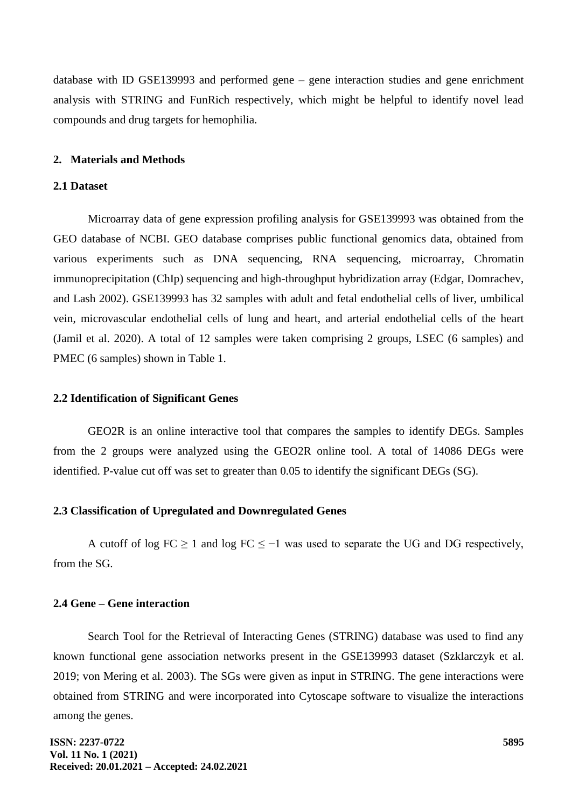database with ID GSE139993 and performed gene – gene interaction studies and gene enrichment analysis with STRING and FunRich respectively, which might be helpful to identify novel lead compounds and drug targets for hemophilia.

### **2. Materials and Methods**

# **2.1 Dataset**

Microarray data of gene expression profiling analysis for GSE139993 was obtained from the GEO database of NCBI. GEO database comprises public functional genomics data, obtained from various experiments such as DNA sequencing, RNA sequencing, microarray, Chromatin immunoprecipitation (ChIp) sequencing and high-throughput hybridization array [\(Edgar, Domrachev,](https://paperpile.com/c/Vgikc1/vDBR)  [and Lash 2002\).](https://paperpile.com/c/Vgikc1/vDBR) GSE139993 has 32 samples with adult and fetal endothelial cells of liver, umbilical vein, microvascular endothelial cells of lung and heart, and arterial endothelial cells of the heart [\(Jamil et al. 2020\).](https://paperpile.com/c/Vgikc1/VdOL) A total of 12 samples were taken comprising 2 groups, LSEC (6 samples) and PMEC (6 samples) shown in Table 1.

### **2.2 Identification of Significant Genes**

GEO2R is an online interactive tool that compares the samples to identify DEGs. Samples from the 2 groups were analyzed using the GEO2R online tool. A total of 14086 DEGs were identified. P-value cut off was set to greater than 0.05 to identify the significant DEGs (SG).

# **2.3 Classification of Upregulated and Downregulated Genes**

A cutoff of log  $FC \ge 1$  and log  $FC \le -1$  was used to separate the UG and DG respectively, from the SG.

# **2.4 Gene – Gene interaction**

Search Tool for the Retrieval of Interacting Genes (STRING) database was used to find any known functional gene association networks present in the GSE139993 dataset [\(Szklarczyk et al.](https://paperpile.com/c/Vgikc1/tugj+Oy3s)  [2019; von Mering et al. 2003\).](https://paperpile.com/c/Vgikc1/tugj+Oy3s) The SGs were given as input in STRING. The gene interactions were obtained from STRING and were incorporated into Cytoscape software to visualize the interactions among the genes.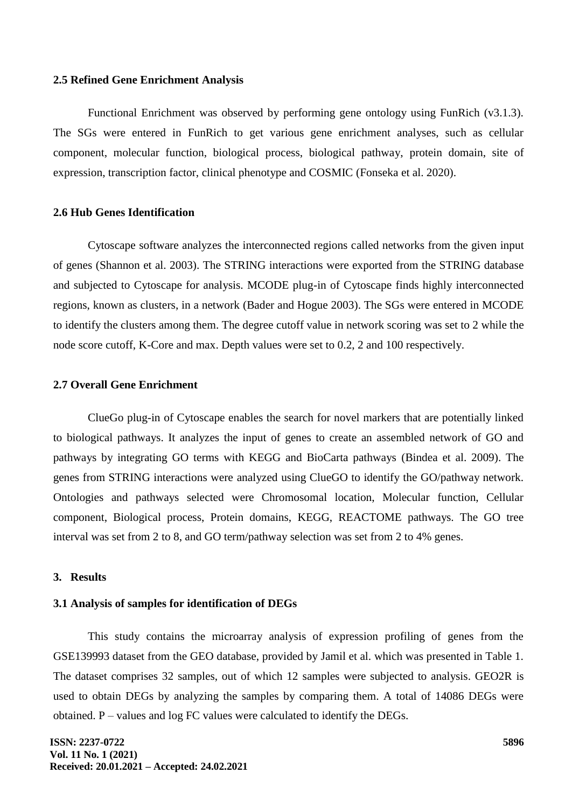### **2.5 Refined Gene Enrichment Analysis**

Functional Enrichment was observed by performing gene ontology using FunRich (v3.1.3). The SGs were entered in FunRich to get various gene enrichment analyses, such as cellular component, molecular function, biological process, biological pathway, protein domain, site of expression, transcription factor, clinical phenotype and COSMIC [\(Fonseka et al. 2020\).](https://paperpile.com/c/Vgikc1/txOg)

### **2.6 Hub Genes Identification**

Cytoscape software analyzes the interconnected regions called networks from the given input of genes [\(Shannon et al. 2003\).](https://paperpile.com/c/Vgikc1/lkL2) The STRING interactions were exported from the STRING database and subjected to Cytoscape for analysis. MCODE plug-in of Cytoscape finds highly interconnected regions, known as clusters, in a network [\(Bader and Hogue 2003\).](https://paperpile.com/c/Vgikc1/GQUa) The SGs were entered in MCODE to identify the clusters among them. The degree cutoff value in network scoring was set to 2 while the node score cutoff, K-Core and max. Depth values were set to 0.2, 2 and 100 respectively.

### **2.7 Overall Gene Enrichment**

ClueGo plug-in of Cytoscape enables the search for novel markers that are potentially linked to biological pathways. It analyzes the input of genes to create an assembled network of GO and pathways by integrating GO terms with KEGG and BioCarta pathways [\(Bindea et al. 2009\).](https://paperpile.com/c/Vgikc1/hUov) The genes from STRING interactions were analyzed using ClueGO to identify the GO/pathway network. Ontologies and pathways selected were Chromosomal location, Molecular function, Cellular component, Biological process, Protein domains, KEGG, REACTOME pathways. The GO tree interval was set from 2 to 8, and GO term/pathway selection was set from 2 to 4% genes.

### **3. Results**

#### **3.1 Analysis of samples for identification of DEGs**

This study contains the microarray analysis of expression profiling of genes from the GSE139993 dataset from the GEO database, provided by Jamil et al. which was presented in Table 1. The dataset comprises 32 samples, out of which 12 samples were subjected to analysis. GEO2R is used to obtain DEGs by analyzing the samples by comparing them. A total of 14086 DEGs were obtained. P – values and log FC values were calculated to identify the DEGs.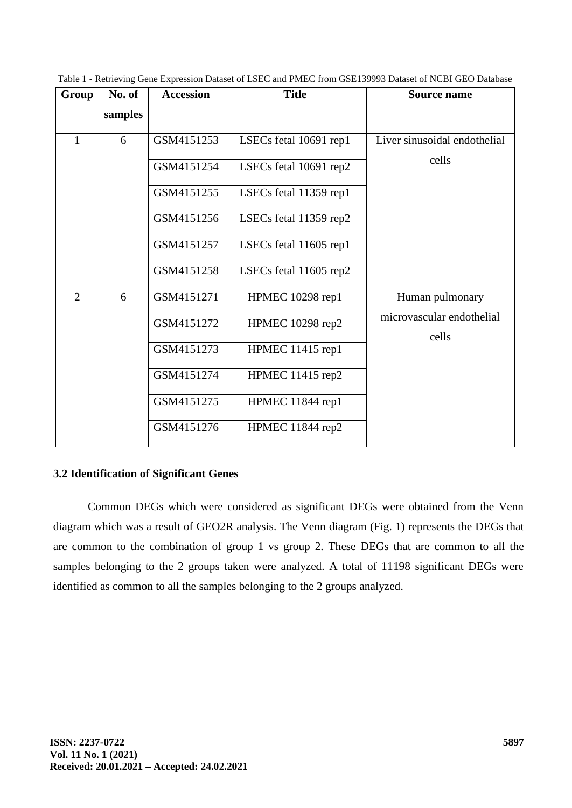|  |  |  |  |  |  | Table 1 - Retrieving Gene Expression Dataset of LSEC and PMEC from GSE139993 Dataset of NCBI GEO Database |  |
|--|--|--|--|--|--|-----------------------------------------------------------------------------------------------------------|--|
|--|--|--|--|--|--|-----------------------------------------------------------------------------------------------------------|--|

| Group          | No. of  | <b>Accession</b> | <b>Title</b>           | Source name                        |  |
|----------------|---------|------------------|------------------------|------------------------------------|--|
|                | samples |                  |                        |                                    |  |
| $\mathbf{1}$   | 6       | GSM4151253       | LSECs fetal 10691 rep1 | Liver sinusoidal endothelial       |  |
|                |         | GSM4151254       | LSECs fetal 10691 rep2 | cells                              |  |
|                |         | GSM4151255       | LSECs fetal 11359 rep1 |                                    |  |
|                |         | GSM4151256       | LSECs fetal 11359 rep2 |                                    |  |
|                |         | GSM4151257       | LSECs fetal 11605 rep1 |                                    |  |
|                |         | GSM4151258       | LSECs fetal 11605 rep2 |                                    |  |
| $\overline{2}$ | 6       | GSM4151271       | HPMEC 10298 rep1       | Human pulmonary                    |  |
|                |         | GSM4151272       | HPMEC 10298 rep2       | microvascular endothelial<br>cells |  |
|                |         | GSM4151273       | HPMEC 11415 rep1       |                                    |  |
|                |         | GSM4151274       | HPMEC 11415 rep2       |                                    |  |
|                |         | GSM4151275       | HPMEC 11844 rep1       |                                    |  |
|                |         | GSM4151276       | HPMEC 11844 rep2       |                                    |  |

# **3.2 Identification of Significant Genes**

Common DEGs which were considered as significant DEGs were obtained from the Venn diagram which was a result of GEO2R analysis. The Venn diagram (Fig. 1) represents the DEGs that are common to the combination of group 1 vs group 2. These DEGs that are common to all the samples belonging to the 2 groups taken were analyzed. A total of 11198 significant DEGs were identified as common to all the samples belonging to the 2 groups analyzed.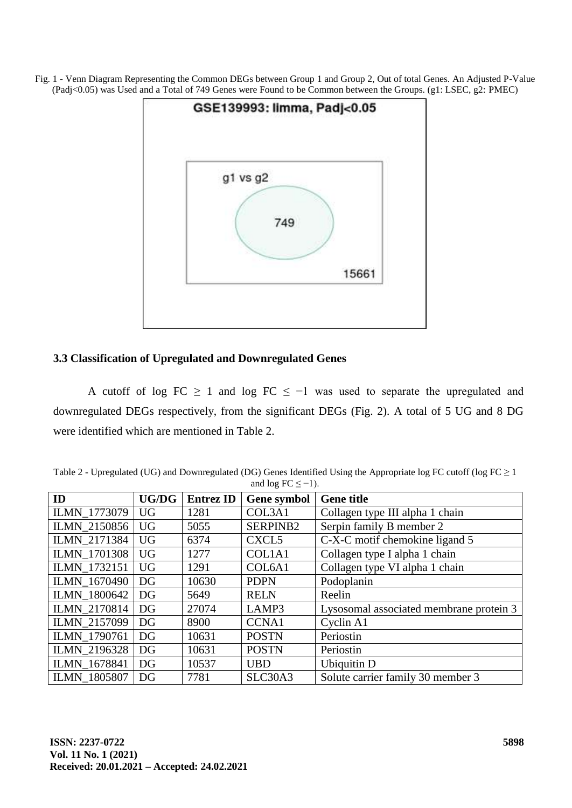Fig. 1 - Venn Diagram Representing the Common DEGs between Group 1 and Group 2, Out of total Genes. An Adjusted P-Value (Padj<0.05) was Used and a Total of 749 Genes were Found to be Common between the Groups. (g1: LSEC, g2: PMEC)



# **3.3 Classification of Upregulated and Downregulated Genes**

A cutoff of log FC  $\geq$  1 and log FC  $\leq$  -1 was used to separate the upregulated and downregulated DEGs respectively, from the significant DEGs (Fig. 2). A total of 5 UG and 8 DG were identified which are mentioned in Table 2.

Table 2 - Upregulated (UG) and Downregulated (DG) Genes Identified Using the Appropriate log FC cutoff (log FC  $\geq$  1 and  $\log FC \leq -1$ ).

| ID                  | <b>UG/DG</b> | <b>Entrez ID</b> | <b>Gene symbol</b> | <b>Gene title</b>                       |
|---------------------|--------------|------------------|--------------------|-----------------------------------------|
| ILMN_1773079        | <b>UG</b>    | 1281             | COL3A1             | Collagen type III alpha 1 chain         |
| <b>ILMN 2150856</b> | <b>UG</b>    | 5055             | SERPINB2           | Serpin family B member 2                |
| <b>ILMN 2171384</b> | <b>UG</b>    | 6374             | CXCL <sub>5</sub>  | C-X-C motif chemokine ligand 5          |
| <b>ILMN 1701308</b> | <b>UG</b>    | 1277             | COL1A1             | Collagen type I alpha 1 chain           |
| ILMN_1732151        | <b>UG</b>    | 1291             | COL6A1             | Collagen type VI alpha 1 chain          |
| ILMN_1670490        | DG           | 10630            | <b>PDPN</b>        | Podoplanin                              |
| <b>ILMN 1800642</b> | DG           | 5649             | <b>RELN</b>        | Reelin                                  |
| <b>ILMN 2170814</b> | DG           | 27074            | LAMP3              | Lysosomal associated membrane protein 3 |
| <b>ILMN 2157099</b> | DG           | 8900             | <b>CCNA1</b>       | Cyclin A1                               |
| <b>ILMN 1790761</b> | DG           | 10631            | <b>POSTN</b>       | Periostin                               |
| ILMN_2196328        | DG           | 10631            | <b>POSTN</b>       | Periostin                               |
| ILMN_1678841        | DG           | 10537            | <b>UBD</b>         | <b>Ubiquitin D</b>                      |
| <b>ILMN 1805807</b> | DG           | 7781             | SLC30A3            | Solute carrier family 30 member 3       |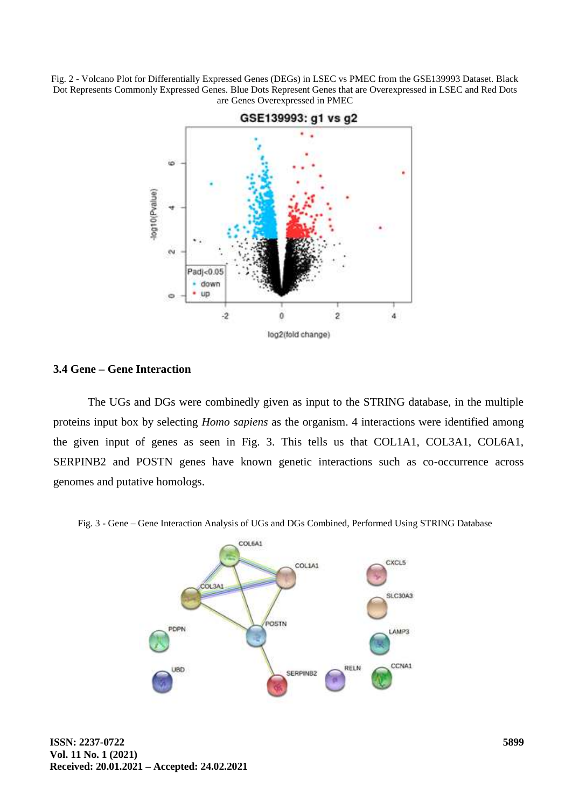Fig. 2 - Volcano Plot for Differentially Expressed Genes (DEGs) in LSEC vs PMEC from the GSE139993 Dataset. Black Dot Represents Commonly Expressed Genes. Blue Dots Represent Genes that are Overexpressed in LSEC and Red Dots are Genes Overexpressed in PMEC



### **3.4 Gene – Gene Interaction**

The UGs and DGs were combinedly given as input to the STRING database, in the multiple proteins input box by selecting *Homo sapiens* as the organism. 4 interactions were identified among the given input of genes as seen in Fig. 3. This tells us that COL1A1, COL3A1, COL6A1, SERPINB2 and POSTN genes have known genetic interactions such as co-occurrence across genomes and putative homologs.

Fig. 3 - Gene – Gene Interaction Analysis of UGs and DGs Combined, Performed Using STRING Database

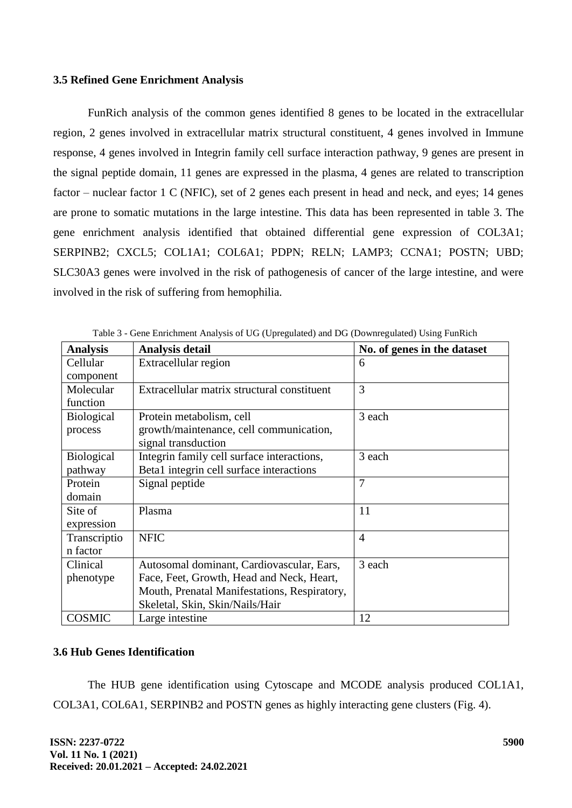# **3.5 Refined Gene Enrichment Analysis**

FunRich analysis of the common genes identified 8 genes to be located in the extracellular region, 2 genes involved in extracellular matrix structural constituent, 4 genes involved in Immune response, 4 genes involved in Integrin family cell surface interaction pathway, 9 genes are present in the signal peptide domain, 11 genes are expressed in the plasma, 4 genes are related to transcription factor – nuclear factor 1 C (NFIC), set of 2 genes each present in head and neck, and eyes; 14 genes are prone to somatic mutations in the large intestine. This data has been represented in table 3. The gene enrichment analysis identified that obtained differential gene expression of COL3A1; SERPINB2; CXCL5; COL1A1; COL6A1; PDPN; RELN; LAMP3; CCNA1; POSTN; UBD; SLC30A3 genes were involved in the risk of pathogenesis of cancer of the large intestine, and were involved in the risk of suffering from hemophilia.

| <b>Analysis</b>   | <b>Analysis detail</b>                       | No. of genes in the dataset |  |  |  |  |
|-------------------|----------------------------------------------|-----------------------------|--|--|--|--|
| Cellular          | Extracellular region                         | 6                           |  |  |  |  |
| component         |                                              |                             |  |  |  |  |
| Molecular         | Extracellular matrix structural constituent  | 3                           |  |  |  |  |
| function          |                                              |                             |  |  |  |  |
| <b>Biological</b> | Protein metabolism, cell                     | 3 each                      |  |  |  |  |
| process           | growth/maintenance, cell communication,      |                             |  |  |  |  |
|                   | signal transduction                          |                             |  |  |  |  |
| <b>Biological</b> | Integrin family cell surface interactions,   | 3 each                      |  |  |  |  |
| pathway           | Beta1 integrin cell surface interactions     |                             |  |  |  |  |
| Protein           | Signal peptide                               | $\overline{7}$              |  |  |  |  |
| domain            |                                              |                             |  |  |  |  |
| Site of           | Plasma                                       | 11                          |  |  |  |  |
| expression        |                                              |                             |  |  |  |  |
| Transcriptio      | <b>NFIC</b>                                  | $\overline{4}$              |  |  |  |  |
| n factor          |                                              |                             |  |  |  |  |
| Clinical          | Autosomal dominant, Cardiovascular, Ears,    | 3 each                      |  |  |  |  |
| phenotype         | Face, Feet, Growth, Head and Neck, Heart,    |                             |  |  |  |  |
|                   | Mouth, Prenatal Manifestations, Respiratory, |                             |  |  |  |  |
|                   | Skeletal, Skin, Skin/Nails/Hair              |                             |  |  |  |  |
| <b>COSMIC</b>     | Large intestine                              | 12                          |  |  |  |  |

Table 3 - Gene Enrichment Analysis of UG (Upregulated) and DG (Downregulated) Using FunRich

# **3.6 Hub Genes Identification**

The HUB gene identification using Cytoscape and MCODE analysis produced COL1A1, COL3A1, COL6A1, SERPINB2 and POSTN genes as highly interacting gene clusters (Fig. 4).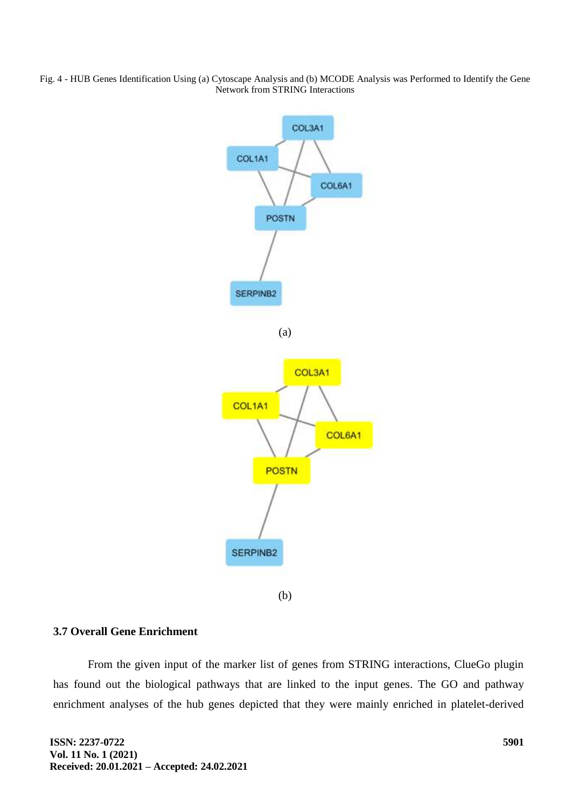Fig. 4 - HUB Genes Identification Using (a) Cytoscape Analysis and (b) MCODE Analysis was Performed to Identify the Gene Network from STRING Interactions



# **3.7 Overall Gene Enrichment**

From the given input of the marker list of genes from STRING interactions, ClueGo plugin has found out the biological pathways that are linked to the input genes. The GO and pathway enrichment analyses of the hub genes depicted that they were mainly enriched in platelet-derived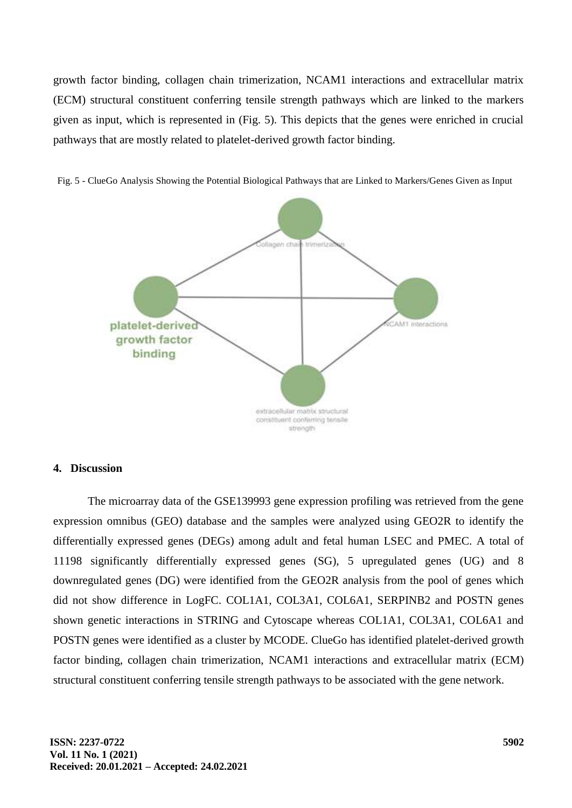growth factor binding, collagen chain trimerization, NCAM1 interactions and extracellular matrix (ECM) structural constituent conferring tensile strength pathways which are linked to the markers given as input, which is represented in (Fig. 5). This depicts that the genes were enriched in crucial pathways that are mostly related to platelet-derived growth factor binding.



Fig. 5 - ClueGo Analysis Showing the Potential Biological Pathways that are Linked to Markers/Genes Given as Input

### **4. Discussion**

The microarray data of the GSE139993 gene expression profiling was retrieved from the gene expression omnibus (GEO) database and the samples were analyzed using GEO2R to identify the differentially expressed genes (DEGs) among adult and fetal human LSEC and PMEC. A total of 11198 significantly differentially expressed genes (SG), 5 upregulated genes (UG) and 8 downregulated genes (DG) were identified from the GEO2R analysis from the pool of genes which did not show difference in LogFC. COL1A1, COL3A1, COL6A1, SERPINB2 and POSTN genes shown genetic interactions in STRING and Cytoscape whereas COL1A1, COL3A1, COL6A1 and POSTN genes were identified as a cluster by MCODE. ClueGo has identified platelet-derived growth factor binding, collagen chain trimerization, NCAM1 interactions and extracellular matrix (ECM) structural constituent conferring tensile strength pathways to be associated with the gene network.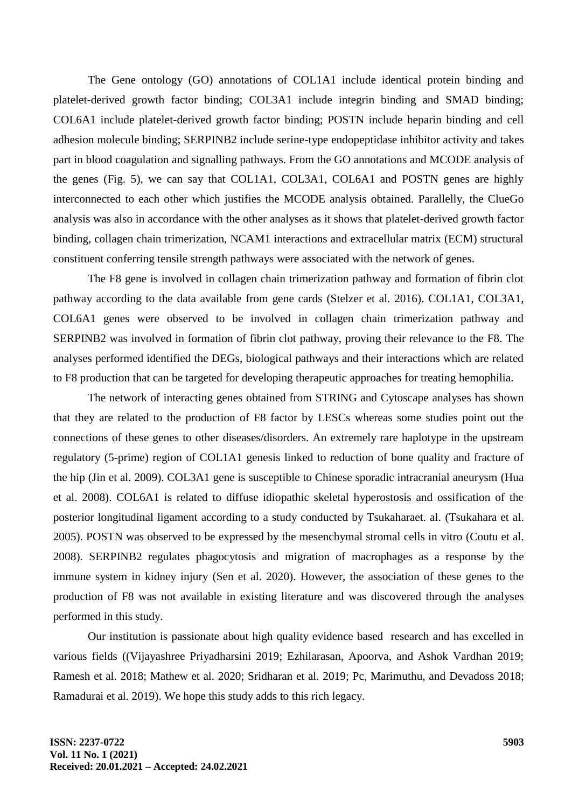The Gene ontology (GO) annotations of COL1A1 include identical protein binding and platelet-derived growth factor binding; COL3A1 include integrin binding and SMAD binding; COL6A1 include platelet-derived growth factor binding; POSTN include heparin binding and cell adhesion molecule binding; SERPINB2 include serine-type endopeptidase inhibitor activity and takes part in blood coagulation and signalling pathways. From the GO annotations and MCODE analysis of the genes (Fig. 5), we can say that COL1A1, COL3A1, COL6A1 and POSTN genes are highly interconnected to each other which justifies the MCODE analysis obtained. Parallelly, the ClueGo analysis was also in accordance with the other analyses as it shows that platelet-derived growth factor binding, collagen chain trimerization, NCAM1 interactions and extracellular matrix (ECM) structural constituent conferring tensile strength pathways were associated with the network of genes.

The F8 gene is involved in collagen chain trimerization pathway and formation of fibrin clot pathway according to the data available from gene cards [\(Stelzer et al. 2016\).](https://paperpile.com/c/Vgikc1/bmBI) COL1A1, COL3A1, COL6A1 genes were observed to be involved in collagen chain trimerization pathway and SERPINB2 was involved in formation of fibrin clot pathway, proving their relevance to the F8. The analyses performed identified the DEGs, biological pathways and their interactions which are related to F8 production that can be targeted for developing therapeutic approaches for treating hemophilia.

The network of interacting genes obtained from STRING and Cytoscape analyses has shown that they are related to the production of F8 factor by LESCs whereas some studies point out the connections of these genes to other diseases/disorders. An extremely rare haplotype in the upstream regulatory (5-prime) region of COL1A1 genesis linked to reduction of bone quality and fracture of the hip [\(Jin et al. 2009\).](https://paperpile.com/c/Vgikc1/tLcb) COL3A1 gene is susceptible to Chinese sporadic intracranial aneurysm [\(Hua](https://paperpile.com/c/Vgikc1/cY0D)  [et al. 2008\).](https://paperpile.com/c/Vgikc1/cY0D) COL6A1 is related to diffuse idiopathic skeletal hyperostosis and ossification of the posterior longitudinal ligament according to a study conducted by Tsukaharaet. al. [\(Tsukahara et al.](https://paperpile.com/c/Vgikc1/wbB9)  [2005\).](https://paperpile.com/c/Vgikc1/wbB9) POSTN was observed to be expressed by the mesenchymal stromal cells in vitro [\(Coutu et al.](https://paperpile.com/c/Vgikc1/g5QP)  [2008\).](https://paperpile.com/c/Vgikc1/g5QP) SERPINB2 regulates phagocytosis and migration of macrophages as a response by the immune system in kidney injury [\(Sen et al. 2020\).](https://paperpile.com/c/Vgikc1/bKfS) However, the association of these genes to the production of F8 was not available in existing literature and was discovered through the analyses performed in this study.

Our institution is passionate about high quality evidence based research and has excelled in various fields [\(\(Vijayashree Priyadharsini 2019; Ezhilarasan, Apoorva, and Ashok Vardhan 2019;](https://paperpile.com/c/Vgikc1/LqH6I+1I7eA+uPmLk+SwYUE+Lixxo+aDowv+7TmyW)  [Ramesh et al. 2018; Mathew et al. 2020; Sridharan et al. 2019; Pc, Marimuthu, and Devadoss](https://paperpile.com/c/Vgikc1/LqH6I+1I7eA+uPmLk+SwYUE+Lixxo+aDowv+7TmyW) 2018; [Ramadurai et al. 2019\).](https://paperpile.com/c/Vgikc1/LqH6I+1I7eA+uPmLk+SwYUE+Lixxo+aDowv+7TmyW) We hope this study adds to this rich legacy.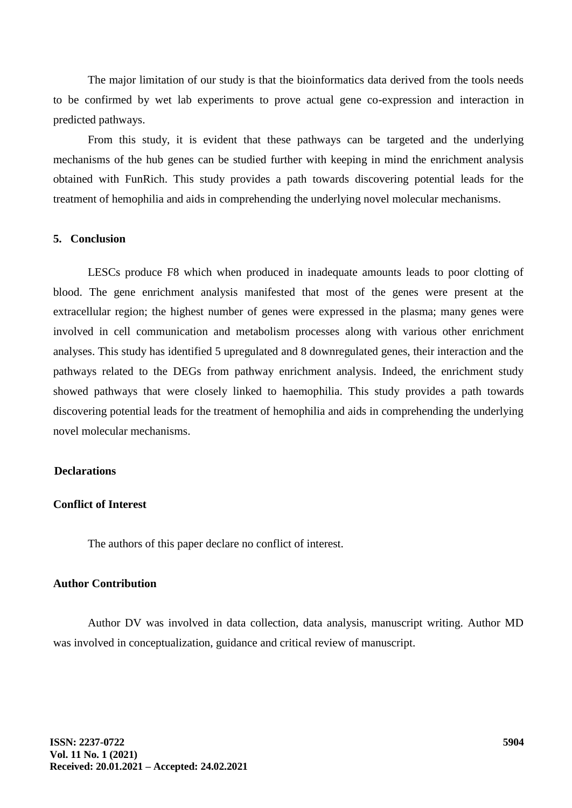The major limitation of our study is that the bioinformatics data derived from the tools needs to be confirmed by wet lab experiments to prove actual gene co-expression and interaction in predicted pathways.

From this study, it is evident that these pathways can be targeted and the underlying mechanisms of the hub genes can be studied further with keeping in mind the enrichment analysis obtained with FunRich. This study provides a path towards discovering potential leads for the treatment of hemophilia and aids in comprehending the underlying novel molecular mechanisms.

### **5. Conclusion**

LESCs produce F8 which when produced in inadequate amounts leads to poor clotting of blood. The gene enrichment analysis manifested that most of the genes were present at the extracellular region; the highest number of genes were expressed in the plasma; many genes were involved in cell communication and metabolism processes along with various other enrichment analyses. This study has identified 5 upregulated and 8 downregulated genes, their interaction and the pathways related to the DEGs from pathway enrichment analysis. Indeed, the enrichment study showed pathways that were closely linked to haemophilia. This study provides a path towards discovering potential leads for the treatment of hemophilia and aids in comprehending the underlying novel molecular mechanisms.

### **Declarations**

### **Conflict of Interest**

The authors of this paper declare no conflict of interest.

# **Author Contribution**

Author DV was involved in data collection, data analysis, manuscript writing. Author MD was involved in conceptualization, guidance and critical review of manuscript.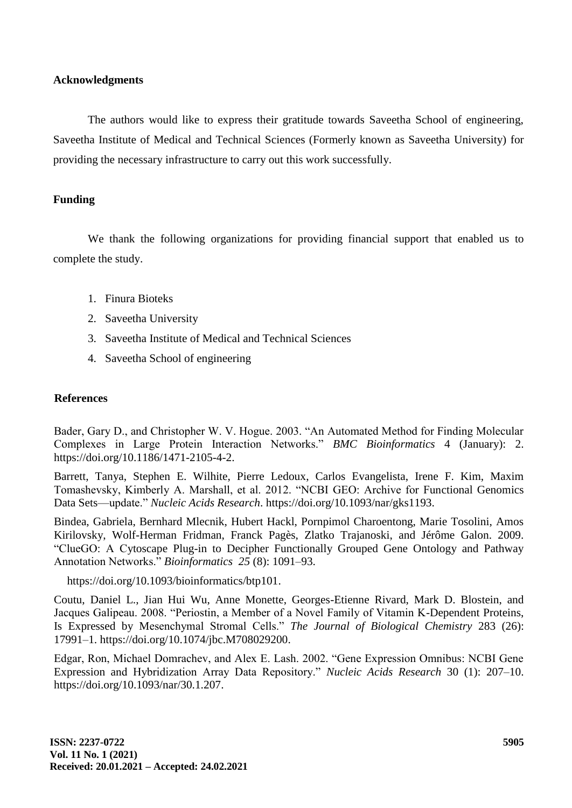# **Acknowledgments**

The authors would like to express their gratitude towards Saveetha School of engineering, Saveetha Institute of Medical and Technical Sciences (Formerly known as Saveetha University) for providing the necessary infrastructure to carry out this work successfully.

# **Funding**

We thank the following organizations for providing financial support that enabled us to complete the study.

- 1. Finura Bioteks
- 2. Saveetha University
- 3. Saveetha Institute of Medical and Technical Sciences
- 4. Saveetha School of engineering

### **References**

Bader, Gary D., and Christopher W. V. Hogue. 2003. "An Automated Method for Finding Molecular Complexes in Large Protein Interaction Networks." *[BMC Bioinformatics](http://paperpile.com/b/Vgikc1/GQUa)* 4 (January): 2. [https://doi.org/10.1186/1471-2105-4-2.](http://paperpile.com/b/Vgikc1/GQUa)

[Barrett, Tanya, Stephen E. Wilhite, Pierre Ledoux, Carlos Evangelista, Irene F. Kim, Maxim](http://paperpile.com/b/Vgikc1/gkf8)  Tomashevsky, Kimberly A. Marshall, et al. 2012. "NCBI GEO: Archive for Functional Genomics Data Sets—update." *[Nucleic Acids Research](http://paperpile.com/b/Vgikc1/gkf8)*[. https://doi.org/10.1093/nar/gks1193.](http://paperpile.com/b/Vgikc1/gkf8)

Bindea, Gabriela, Bernhard Mlecnik, Hubert Hackl, Pornpimol Charoentong, Marie Tosolini, Amos Kirilovsky, Wolf-Herman Fridman, Franck Pagès, Zlatko Trajanoski, and Jérôme Galon. 2009. ―ClueGO: A Cytoscape Plug-in to Decipher Functionally Grouped Gene Ontology and Pathway Annotation Networks." *Bioinformatics* 25(8): 1091–93.

https://doi.org/10.1093/bioinformatics/btp10[1.](http://paperpile.com/b/Vgikc1/hUov)

[Coutu, Daniel L., Jian Hui Wu, Anne Monette, Georges-Etienne Rivard, Mark D. Blostein, and](http://paperpile.com/b/Vgikc1/g5QP)  Jacques Galipeau. 2008. "Periostin, a Member of a Novel Family of Vitamin K-Dependent Proteins, Is Expressed by Mesenchymal Stromal Cells." [The Journal of Biological Chemistry](http://paperpile.com/b/Vgikc1/g5QP) 283 (26): [17991–1. https://doi.org/](283%20(26):%20%2017991–1.%20https:/doi.org/)[10.1074/jbc.M708029200.](http://dx.doi.org/10.1074/jbc.M708029200)

Edgar, Ron, Michael Domrachev, and Alex E. Lash. 2002. "Gene Expression Omnibus: NCBI Gene [Expression and Hybridization Array Data Repository.‖](http://paperpile.com/b/Vgikc1/vDBR) *[Nucleic Acids Research](http://paperpile.com/b/Vgikc1/vDBR)* [30 \(1\): 207–10.](http://paperpile.com/b/Vgikc1/vDBR)  [https://doi.org/10.1093/nar/30.1.207.](http://paperpile.com/b/Vgikc1/vDBR)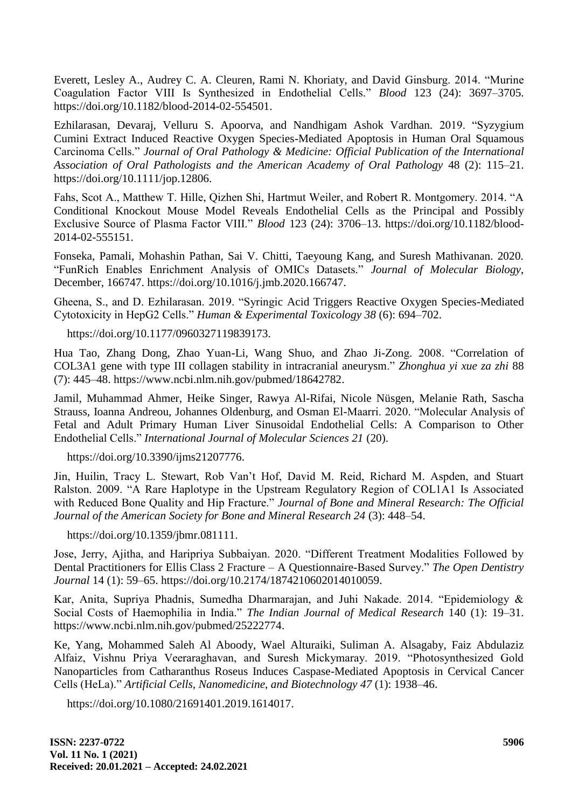Everett, Lesley A., Audrey C. A. Cleuren, Rami N. Khoriaty, and David Ginsburg. 2014. "Murine Coagulation Factor VIII Is Synthesized in Endothelial Cells." *[Blood](http://paperpile.com/b/Vgikc1/MCfW)* 123 (24): 3697–3705. [https://doi.org/10.1182/blood-2014-02-554501.](http://paperpile.com/b/Vgikc1/MCfW)

[Ezhilarasan, Devaraj, Velluru S. Apoorva, and Nandhigam Ashok Vardhan.](http://paperpile.com/b/Vgikc1/1I7eA) 2019. "Syzygium [Cumini Extract Induced Reactive Oxygen Species-Mediated Apoptosis in Human Oral Squamous](http://paperpile.com/b/Vgikc1/1I7eA)  Carcinoma Cells." *Journal of Oral Pathology & Medicine: Official Publication of the International [Association of Oral Pathologists and the American Academy of Oral Pathology](http://paperpile.com/b/Vgikc1/1I7eA)* [48 \(2\): 115–21.](http://paperpile.com/b/Vgikc1/1I7eA)  [https://doi.org/10.1111/jop.12806.](http://paperpile.com/b/Vgikc1/1I7eA)

Fahs, Scot A., Matthew T. Hille, Qizhen Shi, Hartmut Weiler, and Robert R. Montgomery. 2014. "A [Conditional Knockout Mouse Model Reveals Endothelial Cells as the Principal and Possibly](http://paperpile.com/b/Vgikc1/TueC)  Exclusive Source of Plasma Factor VIII." *[Blood](http://paperpile.com/b/Vgikc1/TueC)* [123 \(24\): 3706–13. https://doi.org/10.1182/blood-](http://paperpile.com/b/Vgikc1/TueC)[2014-02-555151.](http://dx.doi.org/10.1182/blood-2014-02-555151)

[Fonseka, Pamali, Mohashin Pathan, Sai V. Chitti, Taeyoung Kang, and Suresh Mathivanan. 2020.](http://paperpile.com/b/Vgikc1/txOg)  [―FunRich Enables Enrichment Analysis of OMICs Datasets.‖](http://paperpile.com/b/Vgikc1/txOg) *[Journal of Molecular Biology](http://paperpile.com/b/Vgikc1/txOg)*[,](http://paperpile.com/b/Vgikc1/txOg)  [December, 166747. https://doi.org/10.1016/j.jmb.2020.166747.](http://paperpile.com/b/Vgikc1/txOg)

Gheena, S., and D. Ezhilarasan. 2019. "Syringic Acid Triggers Reactive Oxygen Species-Mediated Cytotoxicity in HepG2 Cells.‖ *Human & Experimental Toxicology 38* (6): 694–702.

https://doi.org/10.1177/096032711983917[3.](http://paperpile.com/b/Vgikc1/Q7nYP)

Hua Tao, Zhang Dong, Zhao Yuan-Li, Wang Shuo, and Zhao Ji-Zong. 2008. "Correlation of COL3A1 gene with type III collagen stability in intracranial aneurysm." *[Zhonghua yi xue za zhi](http://paperpile.com/b/Vgikc1/cY0D)* 88 [\(7\): 445–48. https://www.ncbi.nlm.nih.gov/pubmed/18642782.](http://paperpile.com/b/Vgikc1/cY0D)

Jamil, Muhammad Ahmer, Heike Singer, Rawya Al-Rifai, Nicole Nüsgen, Melanie Rath, Sascha Strauss, Ioanna Andreou, Johannes Oldenburg, and Osman El-Maarri. 2020. "Molecular Analysis of Fetal and Adult Primary Human Liver Sinusoidal Endothelial Cells: A Comparison to Other Endothelial Cells.‖ *International Journal of Molecular Sciences 21* (20).

https://doi.org/10.3390/ijms2120777[6.](http://paperpile.com/b/Vgikc1/VdOL)

Jin, Huilin, Tracy L. Stewart, Rob Van't Hof, David M. Reid, Richard M. Aspden, and Stuart Ralston. 2009. "A Rare Haplotype in the Upstream Regulatory Region of COL1A1 Is Associated with Reduced Bone Quality and Hip Fracture." *Journal of Bone and Mineral Research: The Official Journal of the American Society for Bone and Mineral Research 24* (3): 448–54.

https://doi.org/10.1359/jbmr.08111[1.](http://paperpile.com/b/Vgikc1/tLcb)

Jose, Jerry, Ajitha, and Haripriya Subbaiyan. 2020. "Different Treatment Modalities Followed by [Dental Practitioners for Ellis Class 2 Fracture –](http://paperpile.com/b/Vgikc1/2eKuD) A Questionnaire-Based Survey." *The Open Dentistry [Journal](http://paperpile.com/b/Vgikc1/2eKuD)* [14 \(1\): 59–65. https://doi.org/10.2174/1874210602014010059.](http://paperpile.com/b/Vgikc1/2eKuD)

Kar, Anita, Supriya Phadnis, Sumedha Dharmarajan, and Juhi Nakade. 2014. "Epidemiology & Social Costs of Haemophilia in India." *[The Indian Journal of Medical Research](http://paperpile.com/b/Vgikc1/GxWb)* 140 (1): 19–31. [https://www.ncbi.nlm.nih.gov/pubmed/25222774.](https://www.ncbi.nlm.nih.gov/pubmed/25222774)

Ke, Yang, Mohammed Saleh Al Aboody, Wael Alturaiki, Suliman A. Alsagaby, Faiz Abdulaziz Alfaiz, Vishnu Priya Veeraraghavan, and Suresh Mickymaray. 2019. "Photosynthesized Gold Nanoparticles from Catharanthus Roseus Induces Caspase-Mediated Apoptosis in Cervical Cancer Cells (HeLa).‖ *Artificial Cells, Nanomedicine, and Biotechnology 47* (1): 1938–46.

https://doi.org/10.1080/21691401.2019.161401[7.](http://paperpile.com/b/Vgikc1/qJK8T)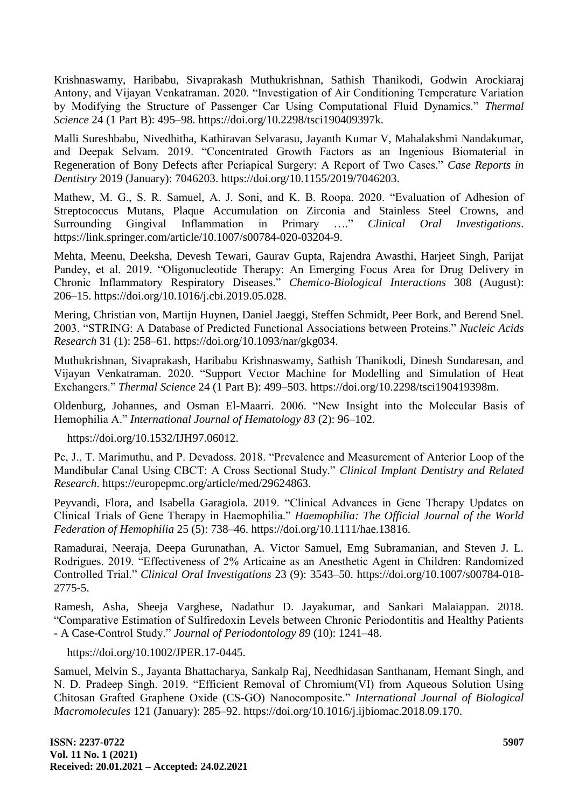[Krishnaswamy, Haribabu, Sivaprakash Muthukrishnan, Sathish Thanikodi, Godwin Arockiaraj](http://paperpile.com/b/Vgikc1/Nj4RO)  Antony, and Vijayan Venkatraman. 2020. "Investigation of Air Conditioning Temperature Variation by Modifying the Structure of Passenger Car Using Computational Fluid Dynamics." *Thermal [Science](http://paperpile.com/b/Vgikc1/Nj4RO)* [24 \(1 Part B\): 495–98. https://doi.org/](http://paperpile.com/b/Vgikc1/Nj4RO)[10.2298/tsci190409397k.](http://dx.doi.org/10.2298/tsci190409397k)

[Malli Sureshbabu, Nivedhitha, Kathiravan Selvarasu, Jayanth Kumar V, Mahalakshmi Nandakumar,](http://paperpile.com/b/Vgikc1/rnYvt)  and Deepak Selvam. 2019. "Concentrated Growth Factors as an Ingenious Biomaterial in Regeneration of Bony Defects after Periapical Surgery: A Report of Two Cases." *Case Reports in [Dentistry](http://paperpile.com/b/Vgikc1/rnYvt)* [2019 \(January\): 7046203. https://doi.org/](http://paperpile.com/b/Vgikc1/rnYvt)[10.1155/2019/7046203.](http://dx.doi.org/10.1155/2019/7046203)

Mathew, M. G., S. R. Samuel, A. J. Soni, and K. B. Roopa. 2020. "Evaluation of Adhesion of [Streptococcus Mutans, Plaque Accumulation on Zirconia and Stainless Steel Crowns, and](http://paperpile.com/b/Vgikc1/SwYUE)  Surrounding Gingival Inflammation in Primary ...." *[Clinical Oral Investigations](http://paperpile.com/b/Vgikc1/SwYUE)*. [https://link.springer.com/article/10.1007/s00784-020-03204-9.](https://link.springer.com/article/10.1007/s00784-020-03204-9)

[Mehta, Meenu, Deeksha, Devesh Tewari, Gaurav Gupta, Rajendra Awasthi, Harjeet Singh, Parijat](http://paperpile.com/b/Vgikc1/BjaVZ)  Pandey, et al. 2019. "Oligonucleotide Therapy: An Emerging Focus Area for Drug Delivery in [Chronic Inflammatory Respiratory Diseases.‖](http://paperpile.com/b/Vgikc1/BjaVZ) *[Chemico-Biological Interactions](http://paperpile.com/b/Vgikc1/BjaVZ)* [308 \(August\):](308%20(August):%20%20%20%20%20%20%20%20%20%20206–15.%20https:/doi.org/)  [206–15. https://doi.org/](308%20(August):%20%20%20%20%20%20%20%20%20%20206–15.%20https:/doi.org/)[10.1016/j.cbi.2019.05.028.](http://dx.doi.org/10.1016/j.cbi.2019.05.028)

[Mering, Christian von, Martijn Huynen, Daniel Jaeggi, Steffen Schmidt, Peer Bork, and Berend Snel.](http://paperpile.com/b/Vgikc1/Oy3s)  [2003. ―STRING: A Database of Predicted Functional Associations between Proteins.‖](http://paperpile.com/b/Vgikc1/Oy3s) *[Nucleic Acids](http://paperpile.com/b/Vgikc1/Oy3s)  [Research](http://paperpile.com/b/Vgikc1/Oy3s)* [31 \(1\): 258–61. https://doi.org/10.1093/nar/gkg034.](http://paperpile.com/b/Vgikc1/Oy3s)

[Muthukrishnan, Sivaprakash, Haribabu Krishnaswamy, Sathish Thanikodi, Dinesh Sundaresan, and](http://paperpile.com/b/Vgikc1/mzpzB)  Vijayan Venkatraman. 2020. "Support Vector Machine for Modelling and Simulation of Heat [Exchangers.‖](http://paperpile.com/b/Vgikc1/mzpzB) *[Thermal Science](http://paperpile.com/b/Vgikc1/mzpzB)* [24 \(1 Part B\): 499–503. https://doi.org/10.2298/tsci190419398m.](http://paperpile.com/b/Vgikc1/mzpzB)

Oldenburg, Johannes, and Osman El-Maarri. 2006. "New Insight into the Molecular Basis of Hemophilia A." *International Journal of Hematology 83* (2): 96–102.

https://doi.org/10.1532/IJH97.0601[2.](http://paperpile.com/b/Vgikc1/0Vbg)

Pc, J., T. Marimuthu, and P. Devadoss. 2018. "Prevalence and Measurement of Anterior Loop of the [Mandibular Canal Using CBCT: A Cross Sectional Study.‖](http://paperpile.com/b/Vgikc1/aDowv) *[Clinical Implant Dentistry and Related](http://paperpile.com/b/Vgikc1/aDowv)  [Research](http://paperpile.com/b/Vgikc1/aDowv)*[. https://europepmc.org/article/med/29624863.](http://paperpile.com/b/Vgikc1/aDowv)

Peyvandi, Flora, and Isabella Garagiola. 2019. "Clinical Advances in Gene Therapy Updates on [Clinical Trials of Gene Therapy in Haemophilia.‖](http://paperpile.com/b/Vgikc1/q2Dj) *[Haemophilia: The Official Journal of the World](http://paperpile.com/b/Vgikc1/q2Dj)  [Federation of Hemophilia](http://paperpile.com/b/Vgikc1/q2Dj)* [25 \(5\): 738–46. https://doi.org/10.1111/hae.13816.](http://paperpile.com/b/Vgikc1/q2Dj)

[Ramadurai, Neeraja, Deepa Gurunathan, A. Victor Samuel, Emg Subramanian, and Steven J. L.](http://paperpile.com/b/Vgikc1/7TmyW)  Rodrigues. 2019. "Effectiveness of 2% Articaine as an Anesthetic Agent in Children: Randomized [Controlled Trial.‖](http://paperpile.com/b/Vgikc1/7TmyW) *[Clinical Oral Investigations](http://paperpile.com/b/Vgikc1/7TmyW)* [23 \(9\): 3543–50. https://doi.org/10.1007/s00784-018-](http://paperpile.com/b/Vgikc1/7TmyW) [2775-5.](http://dx.doi.org/10.1007/s00784-018-2775-5)

Ramesh, Asha, Sheeja Varghese, Nadathur D. Jayakumar, and Sankari Malaiappan. 2018. ―Comparative Estimation of Sulfiredoxin Levels between Chronic Periodontitis and Healthy Patients - A Case-Control Study." *Journal of Periodontology 89* (10): 1241–48.

https://doi.org/10.1002/JPER.17-044[5.](http://paperpile.com/b/Vgikc1/uPmLk)

[Samuel, Melvin S., Jayanta Bhattacharya, Sankalp Raj, Needhidasan Santhanam, Hemant Singh, and](http://paperpile.com/b/Vgikc1/qFgmK)  N. D. Pradeep Singh. 2019. "Efficient Removal of Chromium(VI) from Aqueous Solution Using Chitosan Grafted Graphene Oxide (CS-GO) Nanocomposite." *International Journal of Biological [Macromolecules](http://paperpile.com/b/Vgikc1/qFgmK)* [121 \(January\): 285–92. https://doi.org/](http://paperpile.com/b/Vgikc1/qFgmK)[10.1016/j.ijbiomac.2018.09.170.](http://dx.doi.org/10.1016/j.ijbiomac.2018.09.170)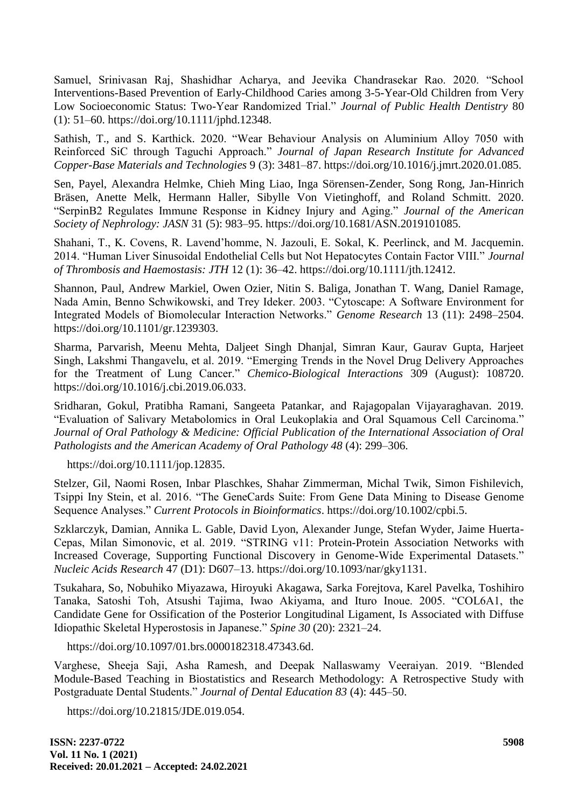Samuel, Srinivasan Raj, Shashidhar Acharya, and Jeevika Chandrasekar Rao. 2020. "School [Interventions-Based Prevention of Early-Childhood Caries among 3-5-Year-Old Children from Very](http://paperpile.com/b/Vgikc1/1Fk8R)  Low Socioeconomic Status: Two-Year Randomized Trial." [Journal of Public Health Dentistry](http://paperpile.com/b/Vgikc1/1Fk8R) 80 [\(1\): 51–60. https://doi.org/](http://paperpile.com/b/Vgikc1/1Fk8R)[10.1111/jphd.12348.](http://dx.doi.org/10.1111/jphd.12348)

Sathish, T., and S. Karthick. 2020. "Wear Behaviour Analysis on Aluminium Alloy 7050 with [Reinforced SiC through Taguchi Approach.‖](http://paperpile.com/b/Vgikc1/eNH9d) *[Journal of Japan Research Institute for Advanced](http://paperpile.com/b/Vgikc1/eNH9d)  [Copper-Base Materials and Technologies](http://paperpile.com/b/Vgikc1/eNH9d)* [9 \(3\): 3481–87. https://doi.org/10.1016/j.jmrt.2020.01.085.](http://paperpile.com/b/Vgikc1/eNH9d)

[Sen, Payel, Alexandra Helmke, Chieh Ming Liao, Inga Sörensen-Zender, Song Rong, Jan-Hinrich](http://paperpile.com/b/Vgikc1/bKfS)  [Bräsen, Anette Melk, Hermann Haller, Sibylle Von Vietinghoff, and Roland Schmitt. 2020.](http://paperpile.com/b/Vgikc1/bKfS)  [―SerpinB2 Regulates Immune Response in Kidney Injury and Aging.‖](http://paperpile.com/b/Vgikc1/bKfS) *[Journal of the American](http://paperpile.com/b/Vgikc1/bKfS)  [Society of Nephrology: JASN](http://paperpile.com/b/Vgikc1/bKfS)* [31 \(5\): 983–95. https://doi.org/](http://paperpile.com/b/Vgikc1/bKfS)[10.1681/ASN.2019101085.](http://dx.doi.org/10.1681/ASN.2019101085)

[Shahani, T., K. Covens, R. Lavend'homme, N. Jazouli, E. Sokal, K. Peerlinck, and M. Jacquemin.](http://paperpile.com/b/Vgikc1/YjWF)  2014. "Human Liver Sinusoidal Endothelial Cells but Not Hepatocytes Contain Factor VIII." *Journal [of Thrombosis and Haemostasis: JTH](http://paperpile.com/b/Vgikc1/YjWF)* 12 (1): [36–42. https://doi.org/10.1111/jth.12412.](http://paperpile.com/b/Vgikc1/YjWF)

[Shannon, Paul, Andrew Markiel, Owen Ozier, Nitin S. Baliga, Jonathan T. Wang, Daniel Ramage,](http://paperpile.com/b/Vgikc1/lkL2)  Nada Amin, Benno Schwikowski, and Trey Ideker. 2003. "Cytoscape: A Software Environment for [Integrated Models of Biomolecular Interaction Networks.‖](http://paperpile.com/b/Vgikc1/lkL2) *[Genome Research](http://paperpile.com/b/Vgikc1/lkL2)* [13 \(11\): 2498–2504.](http://paperpile.com/b/Vgikc1/lkL2)  [https://doi.org/](http://paperpile.com/b/Vgikc1/lkL2)[10.1101/gr.1239303.](http://dx.doi.org/10.1101/gr.1239303)

[Sharma, Parvarish, Meenu Mehta, Daljeet Singh Dhanjal, Simran Kaur, Gaurav Gupta, Harjeet](http://paperpile.com/b/Vgikc1/EMCnE)  Singh, Lakshmi Thangavelu, et al. 2019. "Emerging Trends in the Novel Drug Delivery Approaches for the Treatment of Lung Cancer." *[Chemico-Biological Interactions](http://paperpile.com/b/Vgikc1/EMCnE)* 309 (August): 108720. [https://doi.org/](http://paperpile.com/b/Vgikc1/EMCnE)[10.1016/j.cbi.2019.06.033.](http://dx.doi.org/10.1016/j.cbi.2019.06.033)

Sridharan, Gokul, Pratibha Ramani, Sangeeta Patankar, and Rajagopalan Vijayaraghavan. 2019. "Evaluation of Salivary Metabolomics in Oral Leukoplakia and Oral Squamous Cell Carcinoma." *Journal of Oral Pathology & Medicine: Official Publication of the International Association of Oral Pathologists and the American Academy of Oral Pathology 48* (4): 299–306.

https://doi.org/10.1111/jop.1283[5.](http://paperpile.com/b/Vgikc1/Lixxo)

[Stelzer, Gil, Naomi Rosen, Inbar Plaschkes, Shahar Zimmerman, Michal Twik, Simon Fishilevich,](http://paperpile.com/b/Vgikc1/bmBI)  Tsippi Iny Stein, et al. 2016. "The GeneCards Suite: From Gene Data Mining to Disease Genome Sequence Analyses." *[Current Protocols in Bioinformatics](http://paperpile.com/b/Vgikc1/bmBI)*[. https://doi.org/10.1002/cpbi.5.](http://paperpile.com/b/Vgikc1/bmBI)

[Szklarczyk, Damian, Annika L. Gable, David Lyon, Alexander Junge, Stefan Wyder, Jaime Huerta-](http://paperpile.com/b/Vgikc1/tugj)Cepas, Milan Simonovic, et al. 2019. "STRING v11: Protein-Protein Association Networks with Increased Coverage, Supporting Functional Discovery in Genome-Wide Experimental Datasets." *[Nucleic Acids Research](http://paperpile.com/b/Vgikc1/tugj)* [47 \(D1\): D607–13. https://doi.org/](http://paperpile.com/b/Vgikc1/tugj)[10.1093/nar/gky1131.](http://dx.doi.org/10.1093/nar/gky1131)

Tsukahara, So, Nobuhiko Miyazawa, Hiroyuki Akagawa, Sarka Forejtova, Karel Pavelka, Toshihiro Tanaka, Satoshi Toh, Atsushi Tajima, Iwao Akiyama, and Ituro Inoue. 2005. "COL6A1, the Candidate Gene for Ossification of the Posterior Longitudinal Ligament, Is Associated with Diffuse Idiopathic Skeletal Hyperostosis in Japanese." *Spine 30* (20): 2321–24.

https://doi.org/10.1097/01.brs.0000182318.47343.6[d.](http://paperpile.com/b/Vgikc1/wbB9)

Varghese, Sheeja Saji, Asha Ramesh, and Deepak Nallaswamy Veeraiyan. 2019. "Blended Module-Based Teaching in Biostatistics and Research Methodology: A Retrospective Study with Postgraduate Dental Students." *Journal of Dental Education 83* (4): 445–50.

https://doi.org/10.21815/JDE.019.05[4.](http://paperpile.com/b/Vgikc1/gmQXj)